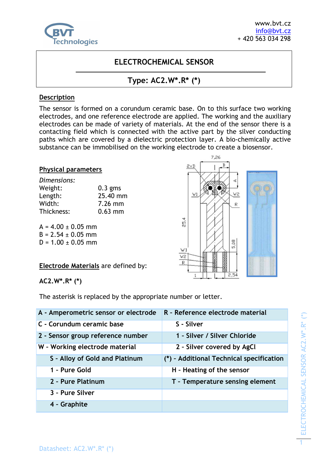

# **ELECTROCHEMICAL SENSOR**

# **Type: AC2.W\*.R\* (\*)**

#### **Description**

The sensor is formed on a corundum ceramic base. On to this surface two working electrodes, and one reference electrode are applied. The working and the auxiliary electrodes can be made of variety of materials. At the end of the sensor there is a contacting field which is connected with the active part by the silver conducting paths which are covered by a dielectric protection layer. A bio-chemically active substance can be immobilised on the working electrode to create a biosensor.

#### **Physical parameters**

| Dimensions: |           |  |
|-------------|-----------|--|
| Weight:     | $0.3$ gms |  |
| Length:     | 25.40 mm  |  |
| Width:      | 7.26 mm   |  |
| Thickness:  | $0.63$ mm |  |

 $A = 4.00 \pm 0.05$  mm  $B = 2.54 \pm 0.05$  mm  $D = 1.00 + 0.05$  mm

**Electrode Materials** are defined by:

**AC2.W\*.R\* (\*)** 

The asterisk is replaced by the appropriate number or letter.

| A - Amperometric sensor or electrode | R - Reference electrode material         |
|--------------------------------------|------------------------------------------|
| C - Corundum ceramic base            | S - Silver                               |
| 2 - Sensor group reference number    | 1 - Silver / Silver Chloride             |
| W - Working electrode material       | 2 - Silver covered by AgCl               |
| S - Alloy of Gold and Platinum       | (*) - Additional Technical specification |
| 1 - Pure Gold                        | H - Heating of the sensor                |
| 2 - Pure Platinum                    | T - Temperature sensing element          |
| 3 - Pure Silver                      |                                          |
| 4 - Graphite                         |                                          |
|                                      |                                          |

ELECTROCHEMICAL SENSOR AC2.W\*.R\* (\*) ELECTROCHEMICAL SENSOR AC2.W\*.R\* (\*)